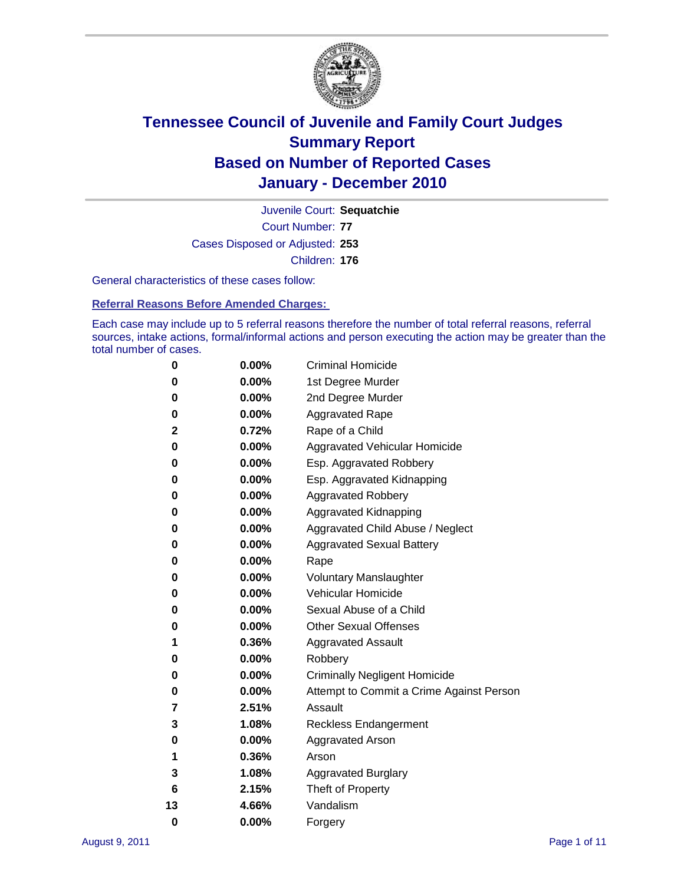

Court Number: **77** Juvenile Court: **Sequatchie** Cases Disposed or Adjusted: **253** Children: **176**

General characteristics of these cases follow:

**Referral Reasons Before Amended Charges:** 

Each case may include up to 5 referral reasons therefore the number of total referral reasons, referral sources, intake actions, formal/informal actions and person executing the action may be greater than the total number of cases.

| 0  | 0.00%    | <b>Criminal Homicide</b>                 |  |  |  |  |
|----|----------|------------------------------------------|--|--|--|--|
| 0  | 0.00%    | 1st Degree Murder                        |  |  |  |  |
| 0  | 0.00%    | 2nd Degree Murder                        |  |  |  |  |
| 0  | 0.00%    | <b>Aggravated Rape</b>                   |  |  |  |  |
| 2  | 0.72%    | Rape of a Child                          |  |  |  |  |
| 0  | 0.00%    | Aggravated Vehicular Homicide            |  |  |  |  |
| 0  | 0.00%    | Esp. Aggravated Robbery                  |  |  |  |  |
| 0  | 0.00%    | Esp. Aggravated Kidnapping               |  |  |  |  |
| 0  | 0.00%    | <b>Aggravated Robbery</b>                |  |  |  |  |
| 0  | 0.00%    | Aggravated Kidnapping                    |  |  |  |  |
| 0  | 0.00%    | Aggravated Child Abuse / Neglect         |  |  |  |  |
| 0  | $0.00\%$ | <b>Aggravated Sexual Battery</b>         |  |  |  |  |
| 0  | 0.00%    | Rape                                     |  |  |  |  |
| 0  | $0.00\%$ | <b>Voluntary Manslaughter</b>            |  |  |  |  |
| 0  | 0.00%    | Vehicular Homicide                       |  |  |  |  |
| 0  | 0.00%    | Sexual Abuse of a Child                  |  |  |  |  |
| 0  | 0.00%    | <b>Other Sexual Offenses</b>             |  |  |  |  |
| 1  | 0.36%    | <b>Aggravated Assault</b>                |  |  |  |  |
| 0  | $0.00\%$ | Robbery                                  |  |  |  |  |
| 0  | 0.00%    | <b>Criminally Negligent Homicide</b>     |  |  |  |  |
| 0  | 0.00%    | Attempt to Commit a Crime Against Person |  |  |  |  |
| 7  | 2.51%    | Assault                                  |  |  |  |  |
| 3  | 1.08%    | <b>Reckless Endangerment</b>             |  |  |  |  |
| 0  | 0.00%    | <b>Aggravated Arson</b>                  |  |  |  |  |
| 1  | 0.36%    | Arson                                    |  |  |  |  |
| 3  | 1.08%    | <b>Aggravated Burglary</b>               |  |  |  |  |
| 6  | 2.15%    | Theft of Property                        |  |  |  |  |
| 13 | 4.66%    | Vandalism                                |  |  |  |  |
| 0  | 0.00%    | Forgery                                  |  |  |  |  |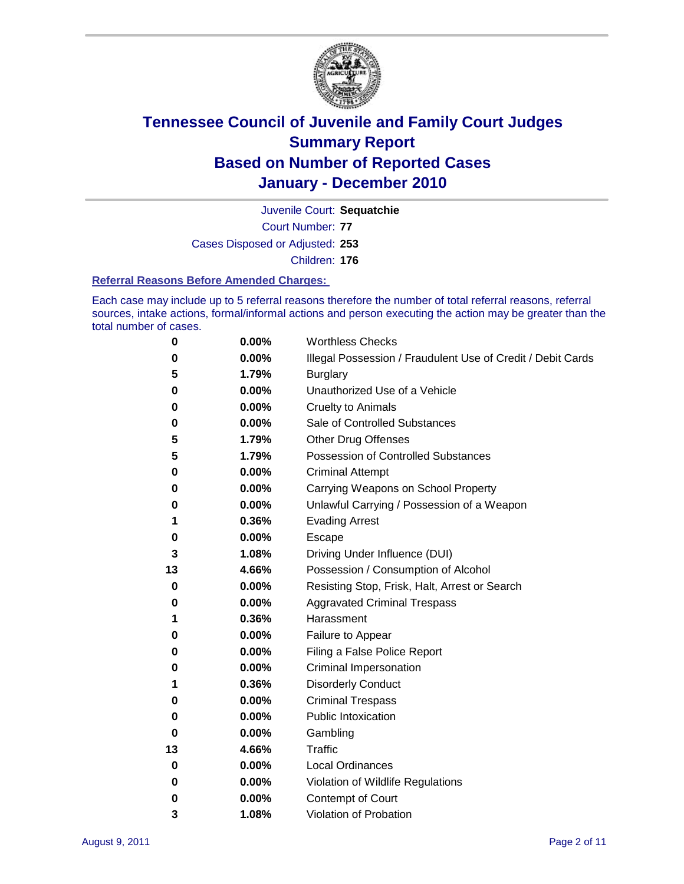

Court Number: **77** Juvenile Court: **Sequatchie** Cases Disposed or Adjusted: **253**

Children: **176**

#### **Referral Reasons Before Amended Charges:**

Each case may include up to 5 referral reasons therefore the number of total referral reasons, referral sources, intake actions, formal/informal actions and person executing the action may be greater than the total number of cases.

| 0  | 0.00% | <b>Worthless Checks</b>                                     |
|----|-------|-------------------------------------------------------------|
| 0  | 0.00% | Illegal Possession / Fraudulent Use of Credit / Debit Cards |
| 5  | 1.79% | <b>Burglary</b>                                             |
| 0  | 0.00% | Unauthorized Use of a Vehicle                               |
| 0  | 0.00% | <b>Cruelty to Animals</b>                                   |
| 0  | 0.00% | Sale of Controlled Substances                               |
| 5  | 1.79% | <b>Other Drug Offenses</b>                                  |
| 5  | 1.79% | <b>Possession of Controlled Substances</b>                  |
| 0  | 0.00% | <b>Criminal Attempt</b>                                     |
| 0  | 0.00% | Carrying Weapons on School Property                         |
| 0  | 0.00% | Unlawful Carrying / Possession of a Weapon                  |
| 1  | 0.36% | <b>Evading Arrest</b>                                       |
| 0  | 0.00% | Escape                                                      |
| 3  | 1.08% | Driving Under Influence (DUI)                               |
| 13 | 4.66% | Possession / Consumption of Alcohol                         |
| 0  | 0.00% | Resisting Stop, Frisk, Halt, Arrest or Search               |
| 0  | 0.00% | <b>Aggravated Criminal Trespass</b>                         |
| 1  | 0.36% | Harassment                                                  |
| 0  | 0.00% | Failure to Appear                                           |
| 0  | 0.00% | Filing a False Police Report                                |
| 0  | 0.00% | Criminal Impersonation                                      |
| 1  | 0.36% | <b>Disorderly Conduct</b>                                   |
| 0  | 0.00% | <b>Criminal Trespass</b>                                    |
| 0  | 0.00% | <b>Public Intoxication</b>                                  |
| 0  | 0.00% | Gambling                                                    |
| 13 | 4.66% | <b>Traffic</b>                                              |
| 0  | 0.00% | <b>Local Ordinances</b>                                     |
| 0  | 0.00% | Violation of Wildlife Regulations                           |
| 0  | 0.00% | Contempt of Court                                           |
| 3  | 1.08% | Violation of Probation                                      |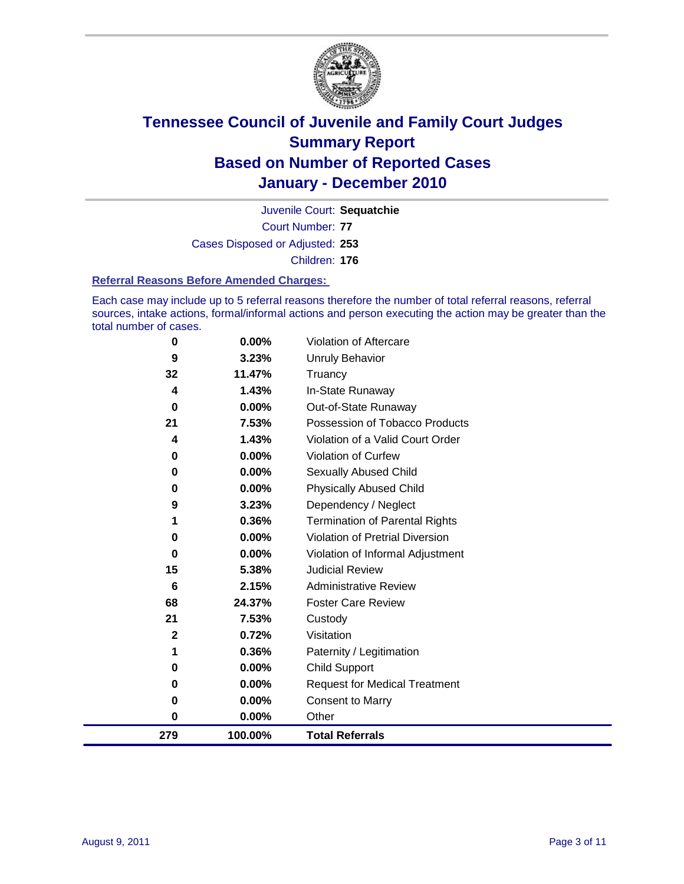

Court Number: **77** Juvenile Court: **Sequatchie** Cases Disposed or Adjusted: **253** Children: **176**

#### **Referral Reasons Before Amended Charges:**

Each case may include up to 5 referral reasons therefore the number of total referral reasons, referral sources, intake actions, formal/informal actions and person executing the action may be greater than the total number of cases.

| 279          | 100.00%                                                 | <b>Total Referrals</b>                                                                                    |
|--------------|---------------------------------------------------------|-----------------------------------------------------------------------------------------------------------|
| $\bf{0}$     | 0.00%                                                   | Other                                                                                                     |
| 0            | 0.00%                                                   | <b>Consent to Marry</b>                                                                                   |
| 0            | 0.00%                                                   | <b>Request for Medical Treatment</b>                                                                      |
| 0            | 0.00%                                                   | <b>Child Support</b>                                                                                      |
| 1            | 0.36%                                                   | Paternity / Legitimation                                                                                  |
| $\mathbf{2}$ | 0.72%                                                   | Visitation                                                                                                |
| 21           | 7.53%                                                   | Custody                                                                                                   |
| 68           | 24.37%                                                  | <b>Foster Care Review</b>                                                                                 |
| 6            | 2.15%                                                   | <b>Administrative Review</b>                                                                              |
| 15           | 5.38%                                                   | <b>Judicial Review</b>                                                                                    |
| 0            | 0.00%                                                   | Violation of Informal Adjustment                                                                          |
| 0            |                                                         | <b>Violation of Pretrial Diversion</b>                                                                    |
|              |                                                         | Termination of Parental Rights                                                                            |
|              |                                                         | Dependency / Neglect                                                                                      |
|              |                                                         | <b>Physically Abused Child</b>                                                                            |
|              |                                                         | <b>Sexually Abused Child</b>                                                                              |
|              |                                                         | Violation of Curfew                                                                                       |
|              |                                                         | Violation of a Valid Court Order                                                                          |
|              |                                                         | Out-of-State Runaway<br>Possession of Tobacco Products                                                    |
|              |                                                         | In-State Runaway                                                                                          |
|              |                                                         | Truancy                                                                                                   |
|              |                                                         | Unruly Behavior                                                                                           |
| 0            | 0.00%                                                   | Violation of Aftercare                                                                                    |
|              | 9<br>32<br>4<br>$\bf{0}$<br>21<br>4<br>0<br>0<br>0<br>9 | 3.23%<br>11.47%<br>1.43%<br>0.00%<br>7.53%<br>1.43%<br>0.00%<br>0.00%<br>0.00%<br>3.23%<br>0.36%<br>0.00% |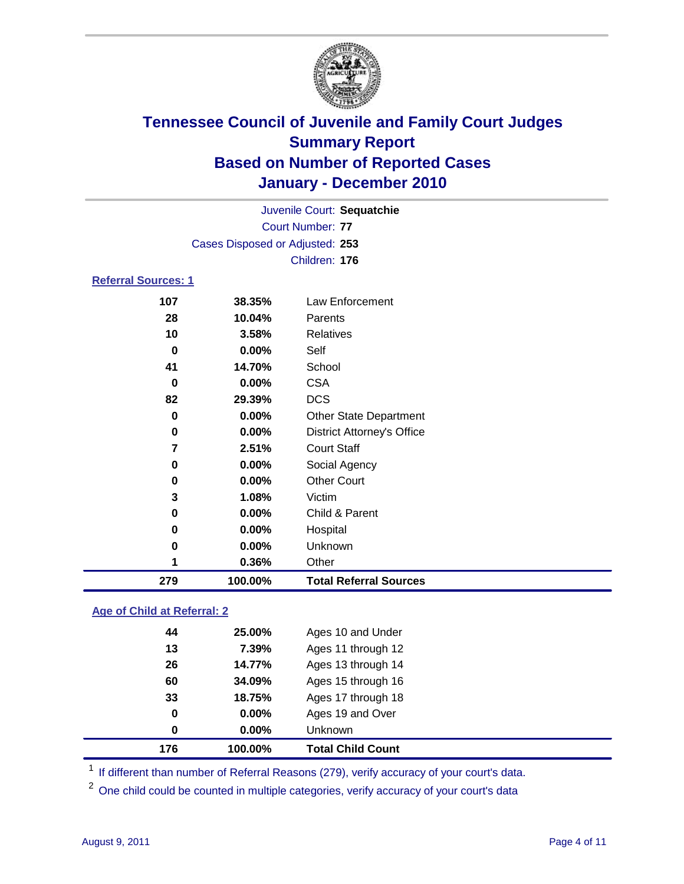

| Juvenile Court: Sequatchie      |          |                                   |  |  |
|---------------------------------|----------|-----------------------------------|--|--|
| <b>Court Number: 77</b>         |          |                                   |  |  |
| Cases Disposed or Adjusted: 253 |          |                                   |  |  |
|                                 |          | Children: 176                     |  |  |
| Referral Sources: 1             |          |                                   |  |  |
| 107                             | 38.35%   | Law Enforcement                   |  |  |
| 28                              | 10.04%   | Parents                           |  |  |
| 10                              | 3.58%    | Relatives                         |  |  |
| $\bf{0}$                        | 0.00%    | Self                              |  |  |
| 41                              | 14.70%   | School                            |  |  |
| 0                               | 0.00%    | <b>CSA</b>                        |  |  |
| 82                              | 29.39%   | <b>DCS</b>                        |  |  |
| $\bf{0}$                        | 0.00%    | <b>Other State Department</b>     |  |  |
| 0                               | $0.00\%$ | <b>District Attorney's Office</b> |  |  |
| 7                               | 2.51%    | <b>Court Staff</b>                |  |  |
| 0                               | 0.00%    | Social Agency                     |  |  |
| 0                               | 0.00%    | <b>Other Court</b>                |  |  |
| 3                               | 1.08%    | Victim                            |  |  |
| 0                               | 0.00%    | Child & Parent                    |  |  |
| 0                               | $0.00\%$ | Hospital                          |  |  |
| 0                               | 0.00%    | Unknown                           |  |  |

### **Age of Child at Referral: 2**

| 176 | 100.00% | <b>Total Child Count</b> |  |
|-----|---------|--------------------------|--|
| 0   | 0.00%   | Unknown                  |  |
| 0   | 0.00%   | Ages 19 and Over         |  |
| 33  | 18.75%  | Ages 17 through 18       |  |
| 60  | 34.09%  | Ages 15 through 16       |  |
| 26  | 14.77%  | Ages 13 through 14       |  |
| 13  | 7.39%   | Ages 11 through 12       |  |
| 44  | 25.00%  | Ages 10 and Under        |  |
|     |         |                          |  |

<sup>1</sup> If different than number of Referral Reasons (279), verify accuracy of your court's data.

**0.36%** Other

**100.00% Total Referral Sources**

<sup>2</sup> One child could be counted in multiple categories, verify accuracy of your court's data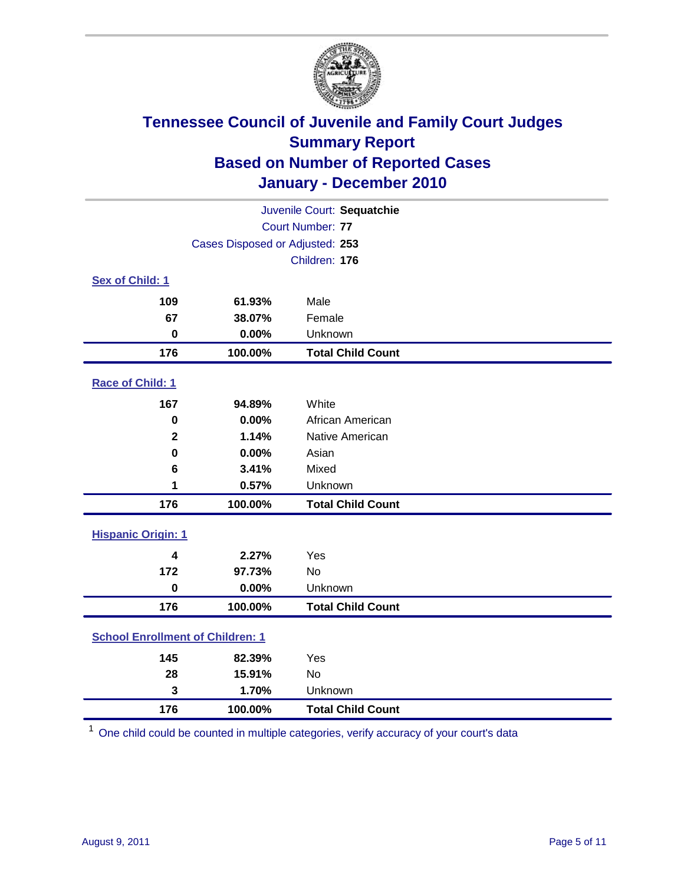

| Juvenile Court: Sequatchie              |                                 |                          |  |  |  |
|-----------------------------------------|---------------------------------|--------------------------|--|--|--|
|                                         | <b>Court Number: 77</b>         |                          |  |  |  |
|                                         | Cases Disposed or Adjusted: 253 |                          |  |  |  |
|                                         | Children: 176                   |                          |  |  |  |
| Sex of Child: 1                         |                                 |                          |  |  |  |
| 109                                     | 61.93%                          | Male                     |  |  |  |
| 67                                      | 38.07%                          | Female                   |  |  |  |
| $\mathbf 0$                             | 0.00%                           | Unknown                  |  |  |  |
| 176                                     | 100.00%                         | <b>Total Child Count</b> |  |  |  |
| Race of Child: 1                        |                                 |                          |  |  |  |
| 167                                     | 94.89%                          | White                    |  |  |  |
| $\mathbf 0$                             | 0.00%                           | African American         |  |  |  |
| $\mathbf{2}$                            | 1.14%                           | Native American          |  |  |  |
| $\mathbf 0$                             | 0.00%                           | Asian                    |  |  |  |
| 6                                       | 3.41%                           | Mixed                    |  |  |  |
| 1                                       | 0.57%                           | Unknown                  |  |  |  |
| 176                                     | 100.00%                         | <b>Total Child Count</b> |  |  |  |
| <b>Hispanic Origin: 1</b>               |                                 |                          |  |  |  |
| 4                                       | 2.27%                           | Yes                      |  |  |  |
| 172                                     | 97.73%                          | No                       |  |  |  |
| $\mathbf 0$                             | 0.00%                           | Unknown                  |  |  |  |
| 176                                     | 100.00%                         | <b>Total Child Count</b> |  |  |  |
| <b>School Enrollment of Children: 1</b> |                                 |                          |  |  |  |
| 145                                     | 82.39%                          | Yes                      |  |  |  |
| 28                                      | 15.91%                          | No                       |  |  |  |
| 3                                       | 1.70%                           | Unknown                  |  |  |  |
| 176                                     | 100.00%                         | <b>Total Child Count</b> |  |  |  |

One child could be counted in multiple categories, verify accuracy of your court's data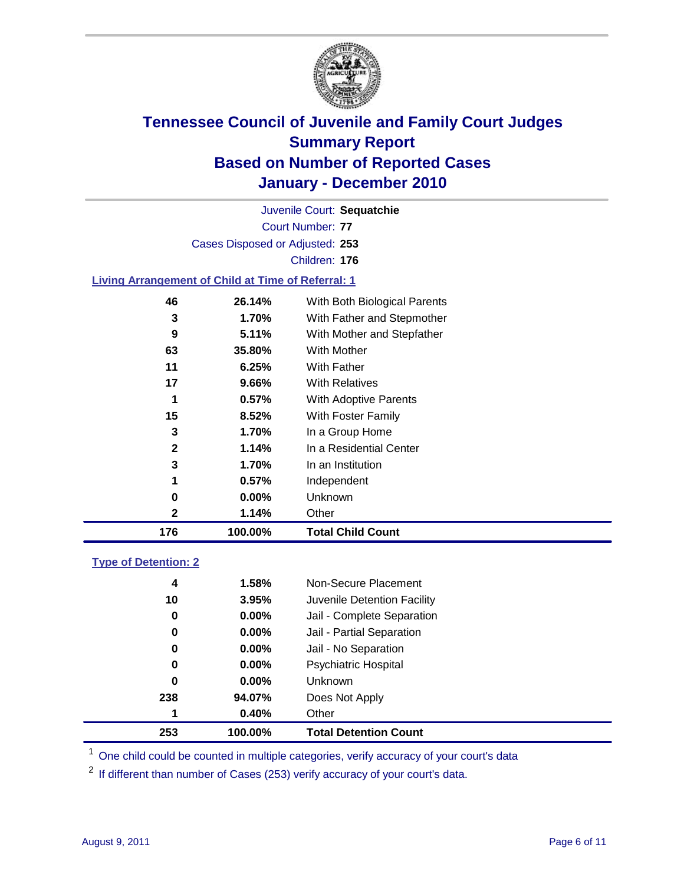

Court Number: **77** Juvenile Court: **Sequatchie** Cases Disposed or Adjusted: **253** Children: **176**

#### **Living Arrangement of Child at Time of Referral: 1**

| 176          | 100.00%  | <b>Total Child Count</b>     |
|--------------|----------|------------------------------|
| 2            | 1.14%    | Other                        |
| 0            | 0.00%    | Unknown                      |
| 1            | $0.57\%$ | Independent                  |
| 3            | 1.70%    | In an Institution            |
| $\mathbf{2}$ | 1.14%    | In a Residential Center      |
| 3            | 1.70%    | In a Group Home              |
| 15           | 8.52%    | With Foster Family           |
| 1            | 0.57%    | With Adoptive Parents        |
| 17           | 9.66%    | <b>With Relatives</b>        |
| 11           | 6.25%    | With Father                  |
| 63           | 35.80%   | With Mother                  |
| 9            | 5.11%    | With Mother and Stepfather   |
| 3            | 1.70%    | With Father and Stepmother   |
| 46           | 26.14%   | With Both Biological Parents |
|              |          |                              |

#### **Type of Detention: 2**

| 253 | 100.00%  | <b>Total Detention Count</b> |
|-----|----------|------------------------------|
| 1   | 0.40%    | Other                        |
| 238 | 94.07%   | Does Not Apply               |
| 0   | 0.00%    | <b>Unknown</b>               |
| 0   | $0.00\%$ | <b>Psychiatric Hospital</b>  |
| 0   | 0.00%    | Jail - No Separation         |
| 0   | $0.00\%$ | Jail - Partial Separation    |
| 0   | 0.00%    | Jail - Complete Separation   |
| 10  | 3.95%    | Juvenile Detention Facility  |
| 4   | 1.58%    | Non-Secure Placement         |
|     |          |                              |

<sup>1</sup> One child could be counted in multiple categories, verify accuracy of your court's data

<sup>2</sup> If different than number of Cases (253) verify accuracy of your court's data.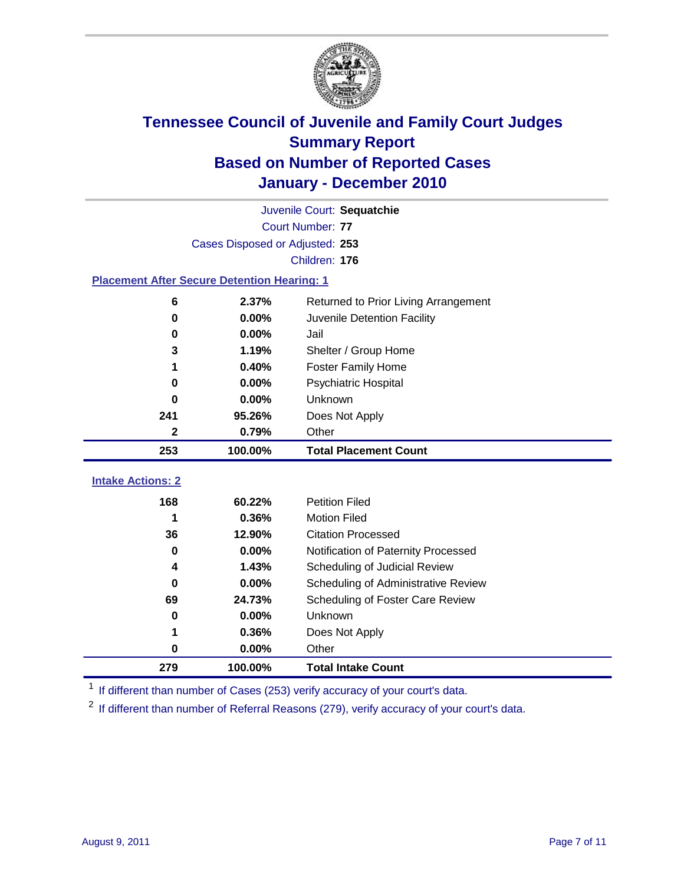

| Juvenile Court: Sequatchie                         |                                 |                                      |  |  |  |
|----------------------------------------------------|---------------------------------|--------------------------------------|--|--|--|
|                                                    | <b>Court Number: 77</b>         |                                      |  |  |  |
|                                                    | Cases Disposed or Adjusted: 253 |                                      |  |  |  |
|                                                    | Children: 176                   |                                      |  |  |  |
| <b>Placement After Secure Detention Hearing: 1</b> |                                 |                                      |  |  |  |
| 6                                                  | 2.37%                           | Returned to Prior Living Arrangement |  |  |  |
| $\bf{0}$                                           | 0.00%                           | Juvenile Detention Facility          |  |  |  |
| 0                                                  | 0.00%                           | Jail                                 |  |  |  |
| 3                                                  | 1.19%                           | Shelter / Group Home                 |  |  |  |
| 1                                                  | 0.40%                           | <b>Foster Family Home</b>            |  |  |  |
| $\bf{0}$                                           | 0.00%                           | <b>Psychiatric Hospital</b>          |  |  |  |
| 0                                                  | 0.00%                           | Unknown                              |  |  |  |
| 241                                                | 95.26%                          | Does Not Apply                       |  |  |  |
| $\mathbf{2}$                                       | 0.79%                           | Other                                |  |  |  |
| 253                                                | 100.00%                         | <b>Total Placement Count</b>         |  |  |  |
| <b>Intake Actions: 2</b>                           |                                 |                                      |  |  |  |
|                                                    |                                 |                                      |  |  |  |
| 168                                                | 60.22%                          | <b>Petition Filed</b>                |  |  |  |
| 1                                                  | 0.36%                           | <b>Motion Filed</b>                  |  |  |  |
| 36                                                 | 12.90%                          | <b>Citation Processed</b>            |  |  |  |
| 0                                                  | 0.00%                           | Notification of Paternity Processed  |  |  |  |
| 4                                                  | 1.43%                           | Scheduling of Judicial Review        |  |  |  |
| $\bf{0}$                                           | 0.00%                           | Scheduling of Administrative Review  |  |  |  |
| 69                                                 | 24.73%                          | Scheduling of Foster Care Review     |  |  |  |
| 0                                                  | 0.00%                           | Unknown                              |  |  |  |
| 1                                                  | 0.36%                           | Does Not Apply                       |  |  |  |
| $\pmb{0}$                                          | 0.00%                           | Other                                |  |  |  |

<sup>1</sup> If different than number of Cases (253) verify accuracy of your court's data.

<sup>2</sup> If different than number of Referral Reasons (279), verify accuracy of your court's data.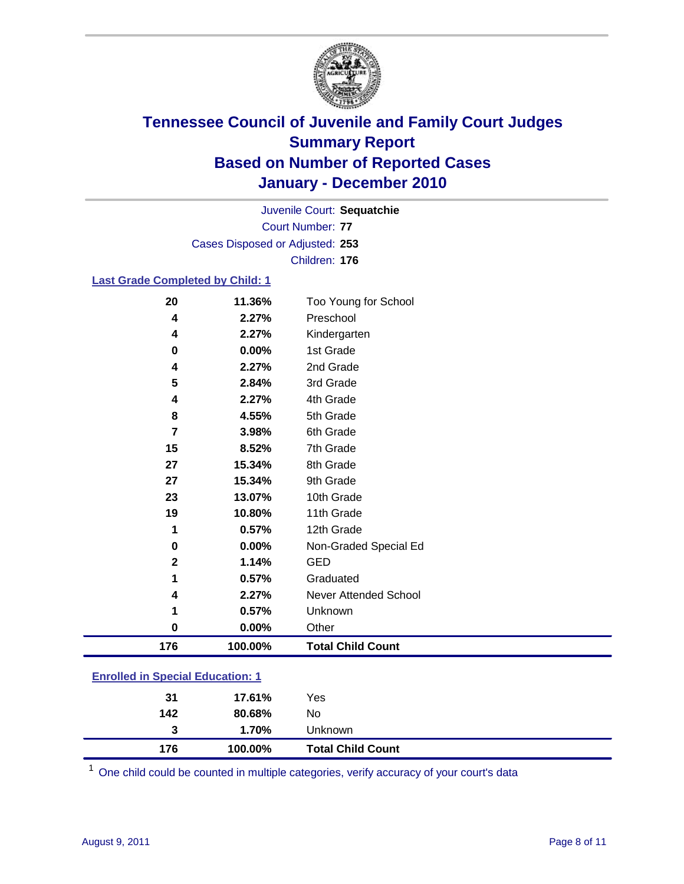

Court Number: **77** Juvenile Court: **Sequatchie** Cases Disposed or Adjusted: **253** Children: **176**

#### **Last Grade Completed by Child: 1**

| 20                                      | 11.36%  | Too Young for School         |  |
|-----------------------------------------|---------|------------------------------|--|
| 4                                       | 2.27%   | Preschool                    |  |
| 4                                       | 2.27%   | Kindergarten                 |  |
| $\bf{0}$                                | 0.00%   | 1st Grade                    |  |
| 4                                       | 2.27%   | 2nd Grade                    |  |
| 5                                       | 2.84%   | 3rd Grade                    |  |
| 4                                       | 2.27%   | 4th Grade                    |  |
| 8                                       | 4.55%   | 5th Grade                    |  |
| $\overline{7}$                          | 3.98%   | 6th Grade                    |  |
| 15                                      | 8.52%   | 7th Grade                    |  |
| 27                                      | 15.34%  | 8th Grade                    |  |
| 27                                      | 15.34%  | 9th Grade                    |  |
| 23                                      | 13.07%  | 10th Grade                   |  |
| 19                                      | 10.80%  | 11th Grade                   |  |
| 1                                       | 0.57%   | 12th Grade                   |  |
| $\bf{0}$                                | 0.00%   | Non-Graded Special Ed        |  |
| $\mathbf 2$                             | 1.14%   | <b>GED</b>                   |  |
| 1                                       | 0.57%   | Graduated                    |  |
| 4                                       | 2.27%   | <b>Never Attended School</b> |  |
| 1                                       | 0.57%   | Unknown                      |  |
| $\bf{0}$                                | 0.00%   | Other                        |  |
| 176                                     | 100.00% | <b>Total Child Count</b>     |  |
| <b>Enrolled in Special Education: 1</b> |         |                              |  |

| 176 | 100.00% | <b>Total Child Count</b> |
|-----|---------|--------------------------|
| 3   | 1.70%   | <b>Unknown</b>           |
| 142 | 80.68%  | No.                      |
| 31  | 17.61%  | Yes                      |
|     |         |                          |

One child could be counted in multiple categories, verify accuracy of your court's data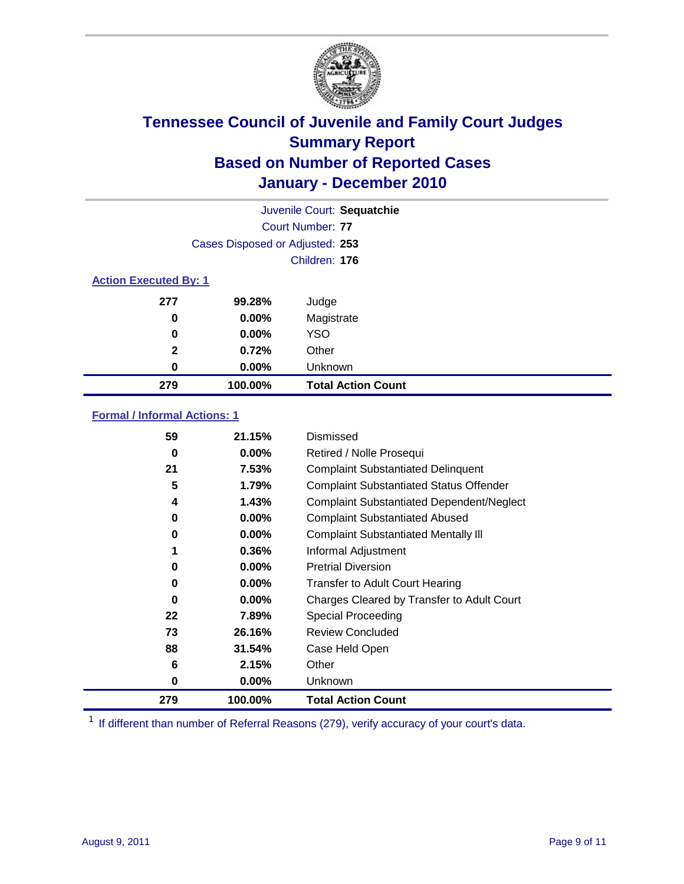

|              | Juvenile Court: Sequatchie      |                           |  |  |  |
|--------------|---------------------------------|---------------------------|--|--|--|
|              |                                 | Court Number: 77          |  |  |  |
|              | Cases Disposed or Adjusted: 253 |                           |  |  |  |
|              | Children: 176                   |                           |  |  |  |
|              | <b>Action Executed By: 1</b>    |                           |  |  |  |
| 277          | 99.28%                          | Judge                     |  |  |  |
| 0            | $0.00\%$                        | Magistrate                |  |  |  |
| 0            | 0.00%                           | <b>YSO</b>                |  |  |  |
| $\mathbf{2}$ | 0.72%                           | Other                     |  |  |  |
| 0            | 0.00%                           | Unknown                   |  |  |  |
| 279          | 100.00%                         | <b>Total Action Count</b> |  |  |  |

### **Formal / Informal Actions: 1**

| 59  | 21.15%   | Dismissed                                        |
|-----|----------|--------------------------------------------------|
| 0   | $0.00\%$ | Retired / Nolle Prosequi                         |
| 21  | 7.53%    | <b>Complaint Substantiated Delinquent</b>        |
| 5   | 1.79%    | <b>Complaint Substantiated Status Offender</b>   |
| 4   | 1.43%    | <b>Complaint Substantiated Dependent/Neglect</b> |
| 0   | 0.00%    | <b>Complaint Substantiated Abused</b>            |
| 0   | $0.00\%$ | <b>Complaint Substantiated Mentally III</b>      |
|     | 0.36%    | Informal Adjustment                              |
| 0   | $0.00\%$ | <b>Pretrial Diversion</b>                        |
| 0   | $0.00\%$ | <b>Transfer to Adult Court Hearing</b>           |
| 0   | $0.00\%$ | Charges Cleared by Transfer to Adult Court       |
| 22  | 7.89%    | Special Proceeding                               |
| 73  | 26.16%   | <b>Review Concluded</b>                          |
| 88  | 31.54%   | Case Held Open                                   |
| 6   | 2.15%    | Other                                            |
| 0   | $0.00\%$ | <b>Unknown</b>                                   |
| 279 | 100.00%  | <b>Total Action Count</b>                        |

<sup>1</sup> If different than number of Referral Reasons (279), verify accuracy of your court's data.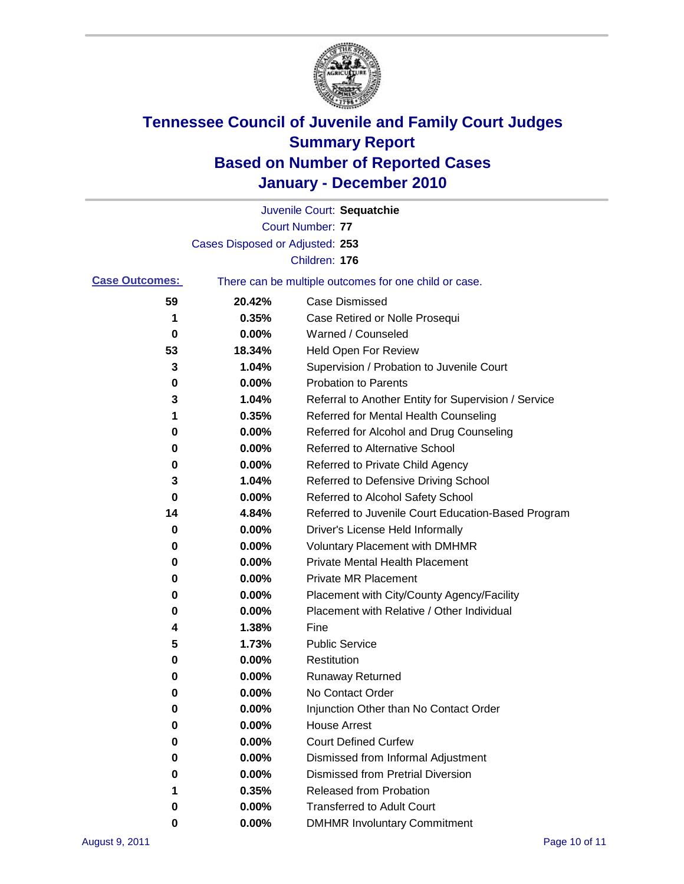

|                       |                                 | Juvenile Court: Sequatchie                            |
|-----------------------|---------------------------------|-------------------------------------------------------|
|                       |                                 | <b>Court Number: 77</b>                               |
|                       | Cases Disposed or Adjusted: 253 |                                                       |
|                       |                                 | Children: 176                                         |
| <b>Case Outcomes:</b> |                                 | There can be multiple outcomes for one child or case. |
| 59                    | 20.42%                          | <b>Case Dismissed</b>                                 |
| 1                     | 0.35%                           | Case Retired or Nolle Prosequi                        |
| 0                     | 0.00%                           | Warned / Counseled                                    |
| 53                    | 18.34%                          | <b>Held Open For Review</b>                           |
| 3                     | 1.04%                           | Supervision / Probation to Juvenile Court             |
| 0                     | 0.00%                           | <b>Probation to Parents</b>                           |
| 3                     | 1.04%                           | Referral to Another Entity for Supervision / Service  |
| 1                     | 0.35%                           | Referred for Mental Health Counseling                 |
| 0                     | 0.00%                           | Referred for Alcohol and Drug Counseling              |
| 0                     | 0.00%                           | <b>Referred to Alternative School</b>                 |
| 0                     | 0.00%                           | Referred to Private Child Agency                      |
| 3                     | 1.04%                           | Referred to Defensive Driving School                  |
| 0                     | 0.00%                           | Referred to Alcohol Safety School                     |
| 14                    | 4.84%                           | Referred to Juvenile Court Education-Based Program    |
| 0                     | 0.00%                           | Driver's License Held Informally                      |
| 0                     | 0.00%                           | <b>Voluntary Placement with DMHMR</b>                 |
| 0                     | 0.00%                           | <b>Private Mental Health Placement</b>                |
| 0                     | 0.00%                           | <b>Private MR Placement</b>                           |
| 0                     | 0.00%                           | Placement with City/County Agency/Facility            |
| 0                     | 0.00%                           | Placement with Relative / Other Individual            |
| 4                     | 1.38%                           | Fine                                                  |
| 5                     | 1.73%                           | <b>Public Service</b>                                 |
| 0                     | 0.00%                           | Restitution                                           |
| 0                     | 0.00%                           | <b>Runaway Returned</b>                               |
| 0                     | 0.00%                           | No Contact Order                                      |
| 0                     | 0.00%                           | Injunction Other than No Contact Order                |
| 0                     | 0.00%                           | <b>House Arrest</b>                                   |
| 0                     | 0.00%                           | <b>Court Defined Curfew</b>                           |
| 0                     | 0.00%                           | Dismissed from Informal Adjustment                    |
| 0                     | 0.00%                           | <b>Dismissed from Pretrial Diversion</b>              |
| 1                     | 0.35%                           | Released from Probation                               |
| 0                     | 0.00%                           | <b>Transferred to Adult Court</b>                     |
| 0                     | 0.00%                           | <b>DMHMR Involuntary Commitment</b>                   |